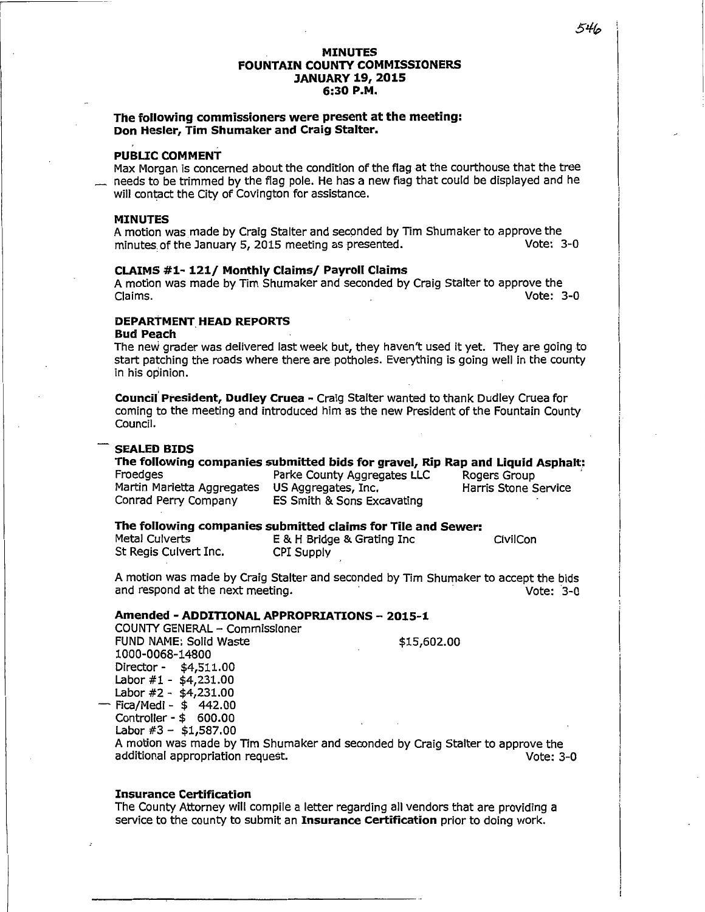### **MINUTES FOUNTAIN COUNTY COMMISSIONERS JANUARY 19, 2015 6:30 P.M.**

# **The following commissioners were present at the meeting: Don Hesler, Tim Shumaker and Craig Stalter.**

# **PUBLIC COMMENT**

Max Morgan is concerned about the condition of the flag at the courthouse that the tree needs to be trimmed by the flag pole. He has a new flag that could be displayed and he will contact the City of Covington for assistance.

### **MINUTES**

A motion was made by Craig Stalter and seconded by Tim Shumaker to approve the minutes of the January 5, 2015 meeting as presented. minutes of the January 5, 2015 meeting as presented.

### **CLAIMS #1- 121/ Monthly Claims/ Payroll Claims**

A motion was made by Tim Shumaker and seconded by Craig Stalter to approve the Claims. Vote: 3-0

# **DEPARTMENT. HEAD REPORTS**

**Bud Peach** 

The new grader was delivered last week but, they haven't used it yet. They are going to start patching the roads where there are potholes. Everything is going well in the county in his opinion.

**Council President, Dudley Cruea - Craig Stalter wanted to thank Dudley Cruea for** coming to the meeting and introduced him as the new President of the Fountain County Council.

# **SEALED BIDS**

### **The following companies submitted bids for gravel, Rip Rap and Liquid Asphalt: Froedges** Parke County Aggregates LLC Rogers Group Parke County Aggregates LLC

Martin Marietta Aggregates US Aggregates, Inc. The Harris Stone Service<br>Conrad Perry Company ES Smith & Sons Excavating

ES Smith & Sons Excavating

# **The following companies submitted claims for Tile and Sewer:**<br>Metal Culverts **E** & H Bridge & Grating Inc

St Regis Culvert Inc. CPI Supply

E & H Bridge & Grating Inc CivilCon

A motion was made by Craig Stalter and seconded by Tim Shumaker to accept the bids and respond at the next meeting. **A substitute of the set of the set of the view of the view of the view of the v** 

### **Amended - ADDITIONAL APPROPRIATIONS - 2015-1**

COUNTY GENERAL - Commissioner FUND NAME: Solid Waste \$15,602.00 1000-0068-14800 Director - \$4,511.00 Labor #1 - \$4,231.00 Labor #2 - \$4,231.00 - Fica/Medi - \$ 442.00

Controller - \$ 600.00

Labor  $#3 - $1,587.00$ 

A motion was made by Tim Shumaker and seconded by Craig Stalter to approve the additional appropriation request. Vote: 3-0

### **Insurance Certification**

The County Attorney will compile a letter regarding all vendors that are providing a service to the county to submit an **Insurance Certification** prior to doing work.